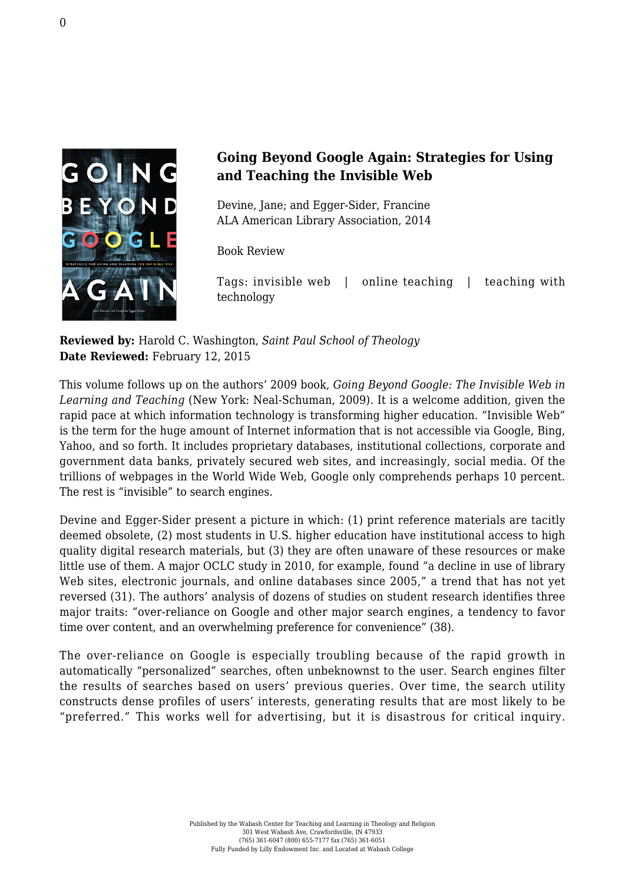

## **Going Beyond Google Again: Strategies for Using and Teaching the Invisible Web**

Devine, Jane; and Egger-Sider, Francine [ALA American Library Association, 2014](http://www.alastore.ala.org/detail.aspx?ID=4271)

Book Review

Tags: invisible web | online teaching | teaching with technology

**Reviewed by:** Harold C. Washington, *Saint Paul School of Theology* **Date Reviewed:** February 12, 2015

This volume follows up on the authors' 2009 book, *Going Beyond Google: The Invisible Web in Learning and Teaching* (New York: Neal-Schuman, 2009). It is a welcome addition, given the rapid pace at which information technology is transforming higher education. "Invisible Web" is the term for the huge amount of Internet information that is not accessible via Google, Bing, Yahoo, and so forth. It includes proprietary databases, institutional collections, corporate and government data banks, privately secured web sites, and increasingly, social media. Of the trillions of webpages in the World Wide Web, Google only comprehends perhaps 10 percent. The rest is "invisible" to search engines.

Devine and Egger-Sider present a picture in which: (1) print reference materials are tacitly deemed obsolete, (2) most students in U.S. higher education have institutional access to high quality digital research materials, but (3) they are often unaware of these resources or make little use of them. A major OCLC study in 2010, for example, found "a decline in use of library Web sites, electronic journals, and online databases since 2005." a trend that has not vet reversed (31). The authors' analysis of dozens of studies on student research identifies three major traits: "over-reliance on Google and other major search engines, a tendency to favor time over content, and an overwhelming preference for convenience" (38).

The over-reliance on Google is especially troubling because of the rapid growth in automatically "personalized" searches, often unbeknownst to the user. Search engines filter the results of searches based on users' previous queries. Over time, the search utility constructs dense profiles of users' interests, generating results that are most likely to be "preferred." This works well for advertising, but it is disastrous for critical inquiry.